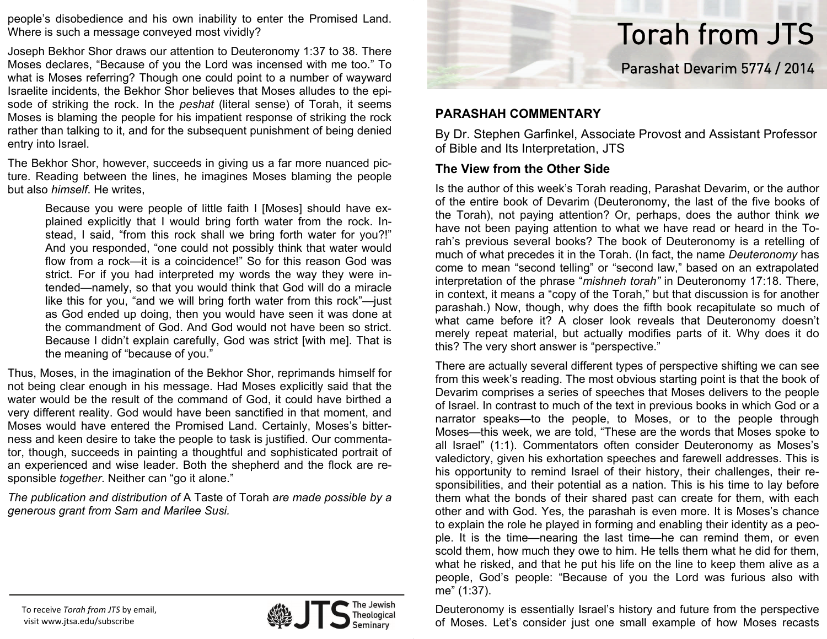people's disobedience and his own inability to enter the Promised Land. Where is such a message conveyed most vividly?

Joseph Bekhor Shor draws our attention to Deuteronomy 1:37 to 38. There Moses declares, "Because of you the Lord was incensed with me too." To what is Moses referring? Though one could point to a number of wayward Israelite incidents, the Bekhor Shor believes that Moses alludes to the episode of striking the rock. In the *peshat* (literal sense) of Torah, it seems Moses is blaming the people for his impatient response of striking the rock rather than talking to it, and for the subsequent punishment of being denied entry into Israel.

The Bekhor Shor, however, succeeds in giving us a far more nuanced picture. Reading between the lines, he imagines Moses blaming the people but also *himself*. He writes,

Because you were people of little faith I [Moses] should have explained explicitly that I would bring forth water from the rock. Instead, I said, "from this rock shall we bring forth water for you?!" And you responded, "one could not possibly think that water would flow from a rock—it is a coincidence!" So for this reason God was strict. For if you had interpreted my words the way they were intended—namely, so that you would think that God will do a miracle like this for you, "and we will bring forth water from this rock"—just as God ended up doing, then you would have seen it was done at the commandment of God. And God would not have been so strict. Because I didn't explain carefully, God was strict [with me]. That is the meaning of "because of you."

Thus, Moses, in the imagination of the Bekhor Shor, reprimands himself for not being clear enough in his message. Had Moses explicitly said that the water would be the result of the command of God, it could have birthed a very different reality. God would have been sanctified in that moment, and Moses would have entered the Promised Land. Certainly, Moses's bitterness and keen desire to take the people to task is justified. Our commentator, though, succeeds in painting a thoughtful and sophisticated portrait of an experienced and wise leader. Both the shepherd and the flock are responsible *together*. Neither can "go it alone."

*The publication and distribution of* A Taste of Torah *are made possible by a generous grant from Sam and Marilee Susi.*



## **The View from the Other Side**

Is the author of this week's Torah reading, Parashat Devarim, or the author of the entire book of Devarim (Deuteronomy, the last of the five books of the Torah), not paying attention? Or, perhaps, does the author think *we* have not been paying attention to what we have read or heard in the Torah's previous several books? The book of Deuteronomy is a retelling of much of what precedes it in the Torah. (In fact, the name *Deuteronomy* has come to mean "second telling" or "second law," based on an extrapolated interpretation of the phrase "*mishneh torah"* in Deuteronomy 17:18. There, in context, it means a "copy of the Torah," but that discussion is for another parashah.) Now, though, why does the fifth book recapitulate so much of what came before it? A closer look reveals that Deuteronomy doesn't merely repeat material, but actually modifies parts of it. Why does it do this? The very short answer is "perspective."

Torah from JTS

Parashat Devarim 5774 / 2014

There are actually several different types of perspective shifting we can see from this week's reading. The most obvious starting point is that the book of Devarim comprises a series of speeches that Moses delivers to the people of Israel. In contrast to much of the text in previous books in which God or a narrator speaks—to the people, to Moses, or to the people through Moses—this week, we are told, "These are the words that Moses spoke to all Israel" (1:1). Commentators often consider Deuteronomy as Moses's valedictory, given his exhortation speeches and farewell addresses. This is his opportunity to remind Israel of their history, their challenges, their responsibilities, and their potential as a nation. This is his time to lay before them what the bonds of their shared past can create for them, with each other and with God. Yes, the parashah is even more. It is Moses's chance to explain the role he played in forming and enabling their identity as a people. It is the time—nearing the last time—he can remind them, or even scold them, how much they owe to him. He tells them what he did for them, what he risked, and that he put his life on the line to keep them alive as a people, God's people: "Because of you the Lord was furious also with me" (1:37).

Deuteronomy is essentially Israel's history and future from the perspective of Moses. Let's consider just one small example of how Moses recasts